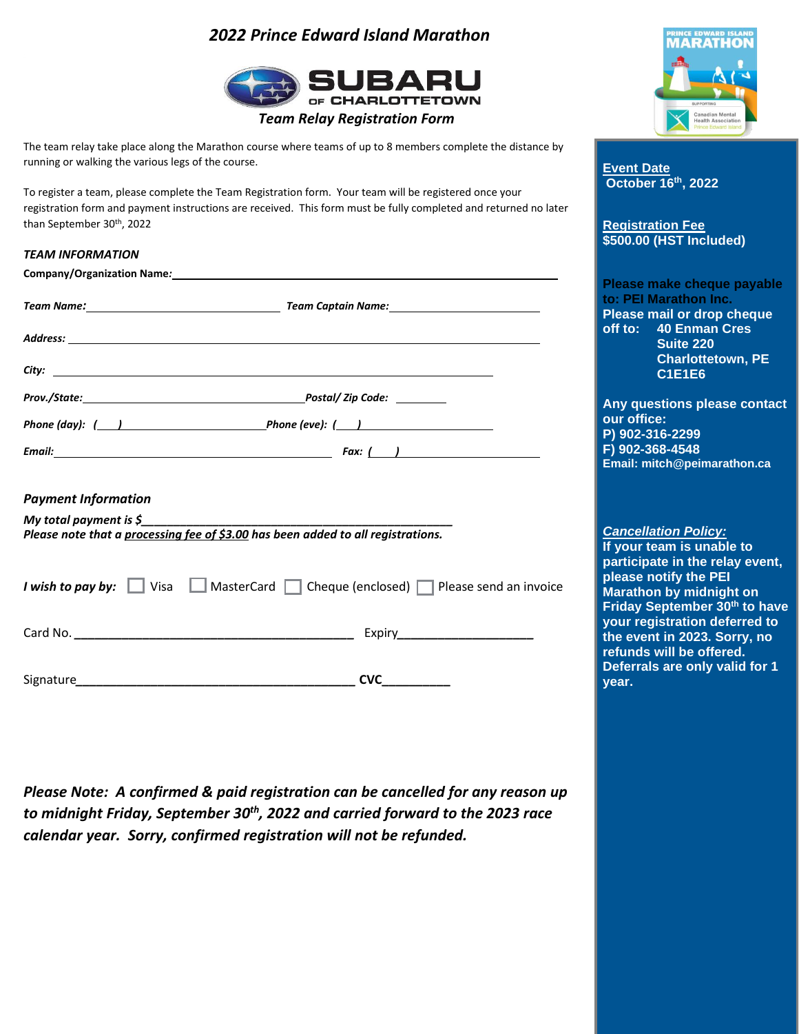## *2022 Prince Edward Island Marathon*



The team relay take place along the Marathon course where teams of up to 8 members complete the distance by running or walking the various legs of the course.

To register a team, please complete the Team Registration form. Your team will be registered once your registration form and payment instructions are received. This form must be fully completed and returned no later than September 30<sup>th</sup>, 2022

| <b>TEAM INFORMATION</b>                                                                                         | <b>JUULUU (NJ)</b> IIIIGIUUEU)                                                                                                                                       |  |  |
|-----------------------------------------------------------------------------------------------------------------|----------------------------------------------------------------------------------------------------------------------------------------------------------------------|--|--|
|                                                                                                                 |                                                                                                                                                                      |  |  |
|                                                                                                                 | Please make cheque payable<br>to: PEI Marathon Inc.<br>Please mail or drop cheque<br>off to: 40 Enman Cres<br>Suite 220<br><b>Charlottetown, PE</b><br><b>C1E1E6</b> |  |  |
|                                                                                                                 | Any questions please contact                                                                                                                                         |  |  |
| Phone (day): $($ ) Phone (eve): $($ )                                                                           | our office:<br>P) 902-316-2299                                                                                                                                       |  |  |
| Email: Fax: ( )                                                                                                 | F) 902-368-4548                                                                                                                                                      |  |  |
|                                                                                                                 | Email: mitch@peimarathon.ca                                                                                                                                          |  |  |
| <b>Payment Information</b>                                                                                      |                                                                                                                                                                      |  |  |
| My total payment is $\zeta$<br>Please note that a processing fee of \$3.00 has been added to all registrations. | <b>Cancellation Policy:</b><br>If your team is unable to                                                                                                             |  |  |
| <i>I</i> wish to pay by: $\Box$ Visa $\Box$ MasterCard $\Box$ Cheque (enclosed) $\Box$ Please send an invoice   | participate in the relay event,<br>please notify the PEI<br>Marathon by midnight on<br>Friday September 30 <sup>th</sup> to have                                     |  |  |
|                                                                                                                 | your registration deferred to<br>the event in 2023. Sorry, no                                                                                                        |  |  |
|                                                                                                                 | refunds will be offered.<br>Deferrals are only valid for 1<br>year.                                                                                                  |  |  |

*Please Note: A confirmed & paid registration can be cancelled for any reason up to midnight Friday, September 30th , 2022 and carried forward to the 2023 race calendar year. Sorry, confirmed registration will not be refunded.*



**Prince <b>Event Date Canada October 16th , 2022**

**Registration Registration Fee**<br> **R500.00 (HST Inc.) \$500.00 (HST Included)**